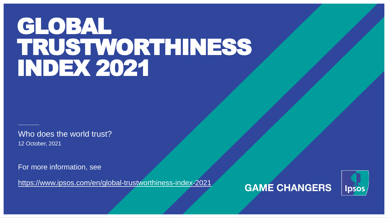# GLOBAL TRUSTWORTHINESS INDEX 2021

12 October, 2021 Who does the world trust?

For more information, see

<https://www.ipsos.com/en/global-trustworthiness-index-2021>



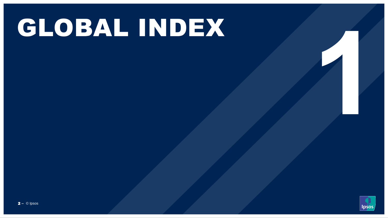# GLOBAL INDEX

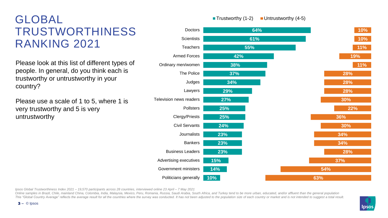# GLOBAL TRUSTWORTHINESS RANKING 2021

Please look at this list of different types of people. In general, do you think each is trustworthy or untrustworthy in your country?

Please use a scale of 1 to 5, where 1 is very trustworthy and 5 is very untrustworthy



*Ipsos Global Trustworthiness Index 2021 – 19,570 participants across 28 countries, interviewed online 23 April – 7 May 2021*

Online samples in Brazil, Chile, mainland China, Colombia, India, Malaysia, Mexico, Peru, Romania, Russia, Saudi Arabia, South Africa, and Turkey tend to be more urban, educated, and/or affluent than the general population This "Global Country Average" reflects the average result for all the countries where the survey was conducted. It has not been adjusted to the population size of each country or market and is not intended to suggest a tot



**Trustworthy (1-2)** Untrustworthy  $(4-5)$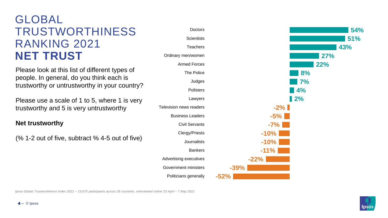# GLOBAL TRUSTWORTHINESS RANKING 2021 **NET TRUST**

Please look at this list of different types of people. In general, do you think each is trustworthy or untrustworthy in your country?

Please use a scale of 1 to 5, where 1 is very trustworthy and 5 is very untrustworthy

#### **Net trustworthy**

(% 1-2 out of five, subtract % 4-5 out of five)





*Ipsos Global Trustworthiness Index 2021 – 19,570 participants across 28 countries, interviewed online 23 April – 7 May 2021*

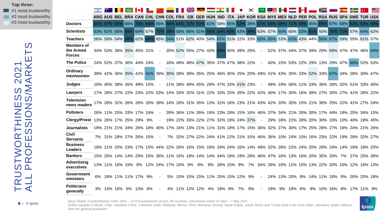**Top three:**  $\blacksquare$  #1 most trustworthy  $\blacksquare$  #2 most trustworthy #3 most trustworthy

|                                                 |  |             | $\bullet$                                                                                                       |          |     |        |                                         |    |                     |               |    | $\bullet^*$ |        |                                                                                         |  |  |                               |    |                                             |  |
|-------------------------------------------------|--|-------------|-----------------------------------------------------------------------------------------------------------------|----------|-----|--------|-----------------------------------------|----|---------------------|---------------|----|-------------|--------|-----------------------------------------------------------------------------------------|--|--|-------------------------------|----|---------------------------------------------|--|
|                                                 |  |             | ARG AUS BEL BRA CAN CHL CHN COL FRA GB GER HUN IND ITA JAP KOR KSA MYS MEX NLD PER POL RSA RUS SPA SWE TUR USA  |          |     |        |                                         |    |                     |               |    |             |        |                                                                                         |  |  |                               |    |                                             |  |
| <b>Doctors</b>                                  |  | 69% 67% 66% | 66%                                                                                                             | 70% 68%  |     |        | 66% 58% 64% 72% 60% 61% 58% 65% 52% 38% |    |                     |               |    |             |        | 67% 68% 66% 71% 58% 55% 65%                                                             |  |  | 67% 68%                       |    | 62% 69% 69%                                 |  |
| <b>Scientists</b>                               |  | 63% 61% 56% | 68%                                                                                                             | 64% 67%  |     |        | 72% 58% 56% 66% 51%                     |    | 66% 64% 68% 43% 48% |               |    |             |        | 63% 57% 60% 60% 53% 61% 50%                                                             |  |  | 75% 71%                       |    | 57% 64% 62%                                 |  |
| <b>Teachers</b>                                 |  | 56% 59% 54% | 68%                                                                                                             | $ 62\% $ | 68% |        |                                         |    |                     |               |    |             |        | 65% 54% 51% 62% 40% 54% 61% 51% 22% 33% 65% 65% 53% 61% 43% 44% 56% 67% 59% 55% 61% 57% |  |  |                               |    |                                             |  |
| <b>Members of</b><br>the Armed<br><b>Forces</b> |  |             | 34% 53% 38% 35% 45% 21%                                                                                         |          |     |        | 20% 52% 55% 27% 43% 64% 45% 39% 25%     |    |                     |               |    |             |        |                                                                                         |  |  |                               |    | 52% 37% 44% 37% 39% 29% 59% 47% 47% 46% 64% |  |
| <b>The Police</b>                               |  |             | 24% 52% 37% 30% 44% 24%                                                                                         |          |     |        | 16% 48% 48% 47% 35% 37% 47% 38% 22%     |    |                     |               |    |             |        |                                                                                         |  |  |                               |    | 40% 15% 53% 22% 29% 13% 29% 47% 60% 52% 53% |  |
| Ordinary<br>men/women                           |  |             | 39% 42% 36% 35% 42% 41% 39% 35% 39% 39% 35% 25% 46% 35% 25% 20% 49% 41% 43% 35% 33% 52% 33% 67% 34% 28% 30% 47% |          |     |        |                                         |    |                     |               |    |             |        |                                                                                         |  |  |                               |    |                                             |  |
| <b>Judges</b>                                   |  |             | 10% 45% 38% 26% 49% 15%                                                                                         |          |     |        | 11% 38% 48% 45% 29% 47% 33% 41% 23%     |    |                     |               |    |             | $\sim$ |                                                                                         |  |  |                               |    | 49% 19% 56% 11% 33% 36% 28% 32% 51% 33% 45% |  |
| <b>Lawyers</b>                                  |  |             | 17% 28% 27% 22% 23% 22% 53% 14% 33% 32% 31% 22% 33% 25% 35% 22% 42% 40% 17% 35% 16% 38% 27% 35% 27% 41% 26% 22% |          |     |        |                                         |    |                     |               |    |             |        |                                                                                         |  |  |                               |    |                                             |  |
| <b>Television</b><br>news readers               |  |             | 17% 28% 31% 26% 26% 20% 39% 14% 18% 31% 35% 13% 31% 18% 23% 21% 43% 42% 20% 35% 15% 21% 38% 25% 22% 41% 27% 24% |          |     |        |                                         |    |                     |               |    |             |        |                                                                                         |  |  |                               |    |                                             |  |
| <b>Pollsters</b>                                |  |             | 26% 11% 25% 33% 17% 24%                                                                                         |          |     |        |                                         |    |                     |               |    |             |        | 28% 36% 11% 26% 19% 23% 29% 15% 16% 46% 37% 34% 21% 26% 30% 17% 44% 19% 25% 34% 15%     |  |  |                               |    |                                             |  |
| Clergy/Priest 13% 26% 17% 25% 29%               |  |             |                                                                                                                 |          | 9%  |        | 19% 22% 33% 22% 27% 32% 19% 24% 37%     |    |                     |               |    |             | $\sim$ |                                                                                         |  |  |                               |    | 29% 18% 22% 28% 20% 30% 33% 10% 40% 19% 45% |  |
| <b>Journalists</b>                              |  |             | 19% 21% 21% 34% 26% 18% 45% 17% 16% 13% 21% 11% 31% 18% 17% 15% 36% 32% 27% 30% 17% 25% 28% 27% 16% 24% 21% 26% |          |     |        |                                         |    |                     |               |    |             |        |                                                                                         |  |  |                               |    |                                             |  |
| Civil<br><b>Servants</b>                        |  |             | 7% 31% 28% 27% 26% 15%                                                                                          |          |     | $\sim$ |                                         |    |                     |               |    |             |        | 7% 32% 27% 22% 24% 41% 22% 21% 15% 46% 36% 10% 24% 10% 16% 23% 22% 19% 28% 32% 27%      |  |  |                               |    |                                             |  |
| <b>Business</b><br><b>Leaders</b>               |  |             | 18% 21% 20% 23% 17% 15% 44% 22% 26% 16% 15% 16% 34% 24% 16% 14% 49% 32% 26% 22% 24% 20% 28% 24% 14% 19% 18% 25% |          |     |        |                                         |    |                     |               |    |             |        |                                                                                         |  |  |                               |    |                                             |  |
| <b>Bankers</b>                                  |  |             | 15% 20% 14% 14% 29% 15% 36% 11% 16% 18% 14% 14% 44% 18% 19% 28% 46% 47% 16% 13% 16% 20% 35% 20%                 |          |     |        |                                         |    |                     |               |    |             |        |                                                                                         |  |  |                               | 7% | 27% 25% 38%                                 |  |
| <b>Advertising</b><br>executives                |  |             | 13% 11% 10% 19% 9% 12% 24% 17% 10% 9%                                                                           |          |     |        |                                         | 9% |                     | 8% 28% 15% 9% |    |             |        | 7% 34% 26% 19% 11% 15% 13% 22% 20% 10% 12% 16% 13%                                      |  |  |                               |    |                                             |  |
| Government<br>ministers                         |  |             | 18% 11% 11% 17%                                                                                                 |          | 9%  | $\sim$ | 5% 10% 15% 15% 11% 25% 15% 12% 9%       |    |                     |               |    |             | $\sim$ |                                                                                         |  |  | 24% 13% 20% 8% 14% 11% 18% 9% |    | 26% 25% 18%                                 |  |
| <b>Politicians</b><br>generally                 |  |             | 3% 14% 10% 6% 13%                                                                                               |          | 6%  | $\sim$ | 4% 11% 12% 12% 4% 18% 9%                |    |                     |               | 7% | 9%          |        |                                                                                         |  |  |                               |    | 19% 9% 19% 6% 9% 10% 16% 8% 17% 11% 9%      |  |

*Ipsos Global Trustworthiness Index 2021 – 19,570 participants across 28 countries, interviewed online 23 April – 7 May 2021*

*Online samples in Brazil, Chile, mainland China, Colombia, India, Malaysia, Mexico, Peru, Romania, Russia, Saudi Arabia, South Africa, and Turkey tend to be more urban, educated, and/or affluent than the general population*

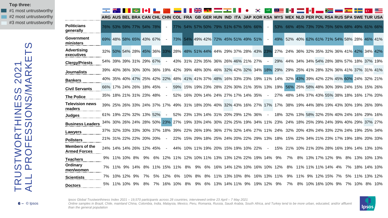#### **Top three:**

 $\blacksquare$  #1 most untrustworthy  $\blacksquare$  #2 most untrustworthy #3 most untrustworthy

|                                              |               |         | ARG AUS BEL BRA CAN CHL CHN |    |    |                             | <b>COL FRA</b> |     | <b>GB GER HUN IND</b>                          |    |                | <b>ITA</b> |                             |        | <b>JAP KOR KSA MYS</b> |    | <b>MEX NLD PER POL RSA RUS SPA SWE TUR USA</b>                                                                  |  |    |                |             |  |
|----------------------------------------------|---------------|---------|-----------------------------|----|----|-----------------------------|----------------|-----|------------------------------------------------|----|----------------|------------|-----------------------------|--------|------------------------|----|-----------------------------------------------------------------------------------------------------------------|--|----|----------------|-------------|--|
| <b>Politicians</b><br>generally              |               |         | 76% 53% 59% 77% 54% 78%     |    |    |                             |                |     | 77% 54% 57% 50% 79% 51% 67% 56% 66%            |    |                |            |                             |        | 53%.                   |    | 66% 45% 73% 70% 75% 56% 68% 49% 61% 66%                                                                         |  |    |                |             |  |
| <b>Government</b><br>ministers               |               |         | 69% 48% 58% 65% 43% 67%     |    |    |                             | 73% l          |     | 54% 49% 42% 72% 45% 51% 49% 51%                |    |                |            |                             |        | 49%                    |    | 52% 40% 62% 61% 71% 54% 58% 28% 46% 41%                                                                         |  |    |                |             |  |
| <b>Advertising</b><br>executives             |               |         | 32% 50% 54% 28% 45% 36% 33% |    |    |                             |                |     | 28% 48% 51% 44% 44% 29% 37% 28% 43% 23%        |    |                |            |                             |        |                        |    | 27% 24% 36% 32% 35% 32% 36% 41% 42% 34% 42%                                                                     |  |    |                |             |  |
| <b>Clergy/Priests</b>                        |               |         | 54% 39% 39% 31% 29% 67%     |    |    |                             |                |     | 43% 31% 22% 35% 36% 26% 46% 21% 27%            |    |                |            |                             |        | <b>29%</b>             |    | 44% 34% 34% 54% 28% 38% 57% 18% 37% 19%                                                                         |  |    |                |             |  |
| <b>Journalists</b>                           |               |         | 39% 40% 36% 30% 30% 36% 19% |    |    |                             |                |     | 42% 39% 48% 30% 46% 32% 42% 32% 34% 18%        |    |                |            |                             |        |                        |    | 29% 29% 25% 41% 28% 32% 36% 41% 37% 31% 41%                                                                     |  |    |                |             |  |
| <b>Bankers</b>                               |               |         | 40% 35% 40% 47% 25% 42% 22% |    |    |                             |                |     | 48% 41% 41% 37% 48% 16% 33% 23% 19% 11%        |    |                |            |                             |        |                        |    | 14% 32% 43% 39% 42% 22% 45% 60% 24% 32% 21%                                                                     |  |    |                |             |  |
| <b>Civil Servants</b>                        |               |         | 66% 17% 24% 26% 18% 45%     |    |    |                             | 59%            |     | 15% 19% 23% 28% 22% 30% 21% 35% 13%            |    |                |            |                             |        | 19%                    |    | 56% 25% 58% 48% 30% 39% 24% 15% 15% 26%                                                                         |  |    |                |             |  |
| <b>The Police</b>                            |               |         | 35% 18% 21% 31% 23% 48%     |    |    |                             |                |     | 52% 16% 20% 14% 24% 27% 17% 14% 35%            |    |                |            |                             |        |                        |    | 27% 48% 14% 37% 43% 55% 38% 18% 16% 17% 20%                                                                     |  |    |                |             |  |
| <b>Television news</b><br>readers            |               |         |                             |    |    | 39% 25% 26% 33% 24% 37% 17% |                |     |                                                |    |                |            |                             |        |                        |    | 49% 31% 18% 20% 40% 32% 43% 16% 27% 17% 17% 38% 19% 44% 38% 19% 43% 30% 19% 26% 39%                             |  |    |                |             |  |
| <b>Judges</b>                                |               |         | 61% 19% 22% 32% 13% 52%     |    |    |                             |                |     | 52% 23% 13% 14% 31% 20% 29% 12% 36%            |    |                |            |                             |        |                        |    | 18% 32% 13% 58% 32% 25% 40% 24% 16% 29% 16%                                                                     |  |    |                |             |  |
| <b>Business Leaders</b>                      |               |         |                             |    |    |                             |                |     |                                                |    |                |            |                             |        |                        |    | 34% 30% 26% 24% 28% 50% 23% 27% 19% 33% 24% 30% 22% 25% 19% 34% 11% 23% 24% 18% 25% 29% 24% 39% 40% 29% 37% 27% |  |    |                |             |  |
| Lawyers                                      |               |         | 37% 32% 33% 33% 30% 37% 18% |    |    |                             |                |     |                                                |    |                |            |                             |        |                        |    | 39% 22% 26% 19% 36% 27% 32% 14% 27% 11% 24% 32% 20% 43% 24% 33% 22% 24% 19% 25% 34%                             |  |    |                |             |  |
| <b>Pollsters</b>                             |               |         | 21% 31% 22% 22% 20% 20%     |    |    |                             |                |     |                                                |    |                |            |                             |        |                        |    | 22% 15% 29% 18% 25% 24% 20% 22% 29% 13% 18% 15% 22% 34% 21% 23% 17% 19% 18% 20% 33%                             |  |    |                |             |  |
| <b>Members of the</b><br><b>Armed Forces</b> |               |         | 24% 14% 14% 26% 12% 45%     |    |    |                             |                |     | 44% 10% 11% 19% 20% 15% 19% 10% 22%            |    |                |            |                             | $\sim$ |                        |    | 15% 21% 10% 21% 20% 28% 16% 19% 14% 13% 10%                                                                     |  |    |                |             |  |
| <b>Teachers</b>                              | 9% 11% 10% 8% |         |                             | 9% | 6% |                             |                |     | 12% 11% 12% 10% 11% 13% 13% 12% 22% 19% 14% 9% |    |                |            |                             |        |                        | 7% | 8% 13% 17% 12% 9%                                                                                               |  |    | 8% 13% 10% 13% |             |  |
| Ordinary<br>men/women                        |               |         | 7% 11% 9% 14%               | 8% |    | 11% 15% 11% 8%              |                |     | 9%                                             | 6% |                |            | 16% 14% 12% 10% 16% 10% 12% |        |                        |    | 8% 11% 11% 11% 14% 4%                                                                                           |  | 7% |                | 18% 14% 10% |  |
| <b>Scientists</b>                            |               | 10% 12% | .9%                         | 7% | 5% | 12%                         | 6%             | 10% | 8%                                             | 8% | 11% 13% 10% 8% |            | 16% 13% 11%                 |        |                        | 9% | 11% 9% 12% 15% 7%                                                                                               |  | 5% |                | 11% 13% 12% |  |
| <b>Doctors</b>                               | 5% 11% 10% 9% |         |                             | 8% | 7% | 16% 10%                     |                | 8%  | 9%                                             | 6% |                |            | 13% 14% 11% 9% 19% 12%      |        | 9%                     | 7% | 8% 10% 16% 10% 9%                                                                                               |  |    | 7% 10% 8% 10%  |             |  |

*Ipsos Global Trustworthiness Index 2021 – 19,570 participants across 28 countries, interviewed online 23 April – 7 May 2021*

*Online samples in Brazil, Chile, mainland China, Colombia, India, Malaysia, Mexico, Peru, Romania, Russia, Saudi Arabia, South Africa, and Turkey tend to be more urban, educated, and/or affluent than the general population*

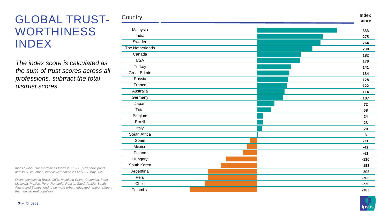## GLOBAL TRUST - WORTHINESS INDEX

*The index score is calculated as the sum of trust scores across all professions, subtract the total distrust scores*

*Ipsos Global Trustworthiness Index 2021 – 19,570 participants across 28 countries, interviewed online 23 April – 7 May 2021*

*Online samples in Brazil, Chile, mainland China, Colombia, India, Malaysia, Mexico, Peru, Romania, Russia, Saudi Arabia, South Africa, and Turkey tend to be more urban, educated, and/or affluent than the general population*

| Country              | <b>Index</b><br>score |
|----------------------|-----------------------|
|                      |                       |
| Malaysia             | 333                   |
| India                | 275                   |
| Sweden               | 264                   |
| The Netherlands      | 230                   |
| Canada               | 182                   |
| <b>USA</b>           | 179                   |
| Turkey               | 141                   |
| <b>Great Britain</b> | 134                   |
| Russia               | 128                   |
| France               | 122                   |
| Australia            | 114                   |
| Germany              | 107                   |
| Japan                | 72                    |
| Total                | 58                    |
| Belgium              | 24                    |
| <b>Brazil</b>        | 23                    |
| Italy                | 20                    |
| South Africa         | 3                     |
| Spain                | $-31$                 |
| Mexico               | $-42$                 |
| Poland               | $-62$                 |
| Hungary              | $-130$                |
| South Korea          | $-153$                |
| Argentina            | $-206$                |
| Peru                 | $-206$                |
| Chile                | $-220$                |
| Colombia             | $-283$                |

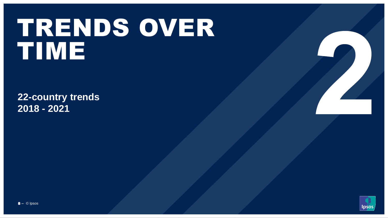# TRENDS OVER TIME

**22-country trends 2018 - 2021**

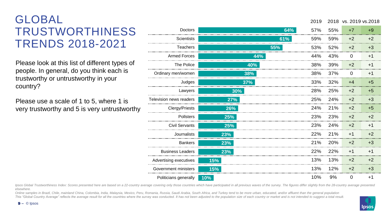# GLOBAL TRUSTWORTHINESS TRENDS 2018-2021

Please look at this list of different types of people. In general, do you think each is trustworthy or untrustworthy in your country?

Please use a scale of 1 to 5, where 1 is very trustworthy and 5 is very untrustworthy

| <b>Doctors</b>          | 64% | 57% | 55% | $+7$           | $+9$ |
|-------------------------|-----|-----|-----|----------------|------|
| <b>Scientists</b>       | 61% | 59% | 59% | $+2$           | $+2$ |
| <b>Teachers</b>         | 55% | 53% | 52% | $+2$           | $+3$ |
| <b>Armed Forces</b>     | 44% | 44% | 43% | $\overline{0}$ | $+1$ |
| The Police              | 40% | 38% | 39% | $+2$           | $+1$ |
| Ordinary men/women      | 38% | 38% | 37% | $\overline{0}$ | $+1$ |
| Judges                  | 37% | 33% | 32% | $+4$           | $+5$ |
| Lawyers                 | 30% | 28% | 25% | $+2$           | $+5$ |
| Television news readers | 27% | 25% | 24% | $+2$           | $+3$ |
| Clergy/Priests          | 26% | 24% | 21% | $+2$           | $+5$ |
| Pollsters               | 25% | 23% | 23% | $+2$           | $+2$ |
| <b>Civil Servants</b>   | 25% | 23% | 24% | $+2$           | $+1$ |
| <b>Journalists</b>      | 23% | 22% | 21% | $+1$           | $+2$ |
| <b>Bankers</b>          | 23% | 21% | 20% | $+2$           | $+3$ |
| <b>Business Leaders</b> | 23% | 22% | 22% | $+1$           | $+1$ |
| Advertising executives  | 15% | 13% | 13% | $+2$           | $+2$ |
| Government ministers    | 15% | 13% | 12% | $+2$           | $+3$ |
| Politicians generally   | 10% | 10% | 9%  | $\overline{0}$ | $+1$ |

Ipsos Global Trustworthiness Index: Scores presented here are based on a 22-country average covering only those countries which have participated in all previous waves of the survey. The figures differ slightly from the 28 *elsewhere.*

Online samples in Brazil, Chile, mainland China, Colombia, India, Malaysia, Mexico, Peru, Romania, Russia, Saudi Arabia, South Africa, and Turkey tend to be more urban, educated, and/or affluent than the general population This "Global Country Average" reflects the average result for all the countries where the survey was conducted. It has not been adjusted to the population size of each country or market and is not intended to suggest a tot

#### © Ipsos 9 **‒**

2019 2018 vs. 2019 vs.2018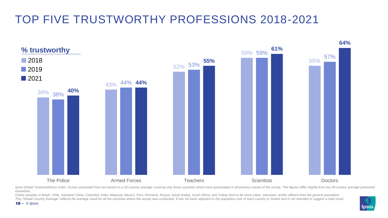# TOP FIVE TRUSTWORTHY PROFESSIONS 2018-2021



Ipsos Global Trustworthiness Index: Scores presented here are based on a 22-country average covering only those countries which have participated in all previous waves of the survey. The figures differ slightly from the 28 *elsewhere.*

Online samples in Brazil, Chile, mainland China, Colombia, India, Malaysia, Mexico, Peru, Romania, Russia, Saudi Arabia, South Africa, and Turkey tend to be more urban, educated, and/or affluent than the general population This "Global Country Average" reflects the average result for all the countries where the survey was conducted. It has not been adjusted to the population size of each country or market and is not intended to suggest a tot

10 **‒** © Ipsos

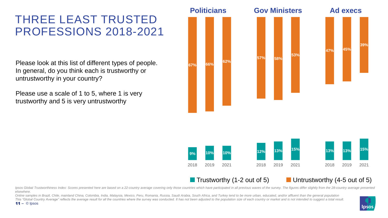# THREE LEAST TRUSTED PROFESSIONS 2018-2021

Please look at this list of different types of people. In general, do you think each is trustworthy or untrustworthy in your country?

Please use a scale of 1 to 5, where 1 is very trustworthy and 5 is very untrustworthy

11  $\circ$  lpsos





#### **The Trustworthy (1-2 out of 5)** Untrustworthy (4-5 out of 5)

Ipsos Global Trustworthiness Index: Scores presented here are based on a 22-country average covering only those countries which have participated in all previous waves of the survey. The figures differ slightly from the 28 *elsewhere.*

Online samples in Brazil, Chile, mainland China, Colombia, India, Malaysia, Mexico, Peru, Romania, Russia, Saudi Arabia, South Africa, and Turkey tend to be more urban, educated, and/or affluent than the general population This "Global Country Average" reflects the average result for all the countries where the survey was conducted. It has not been adjusted to the population size of each country or market and is not intended to suggest a tot

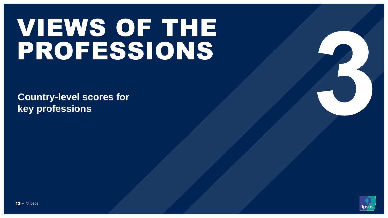# VIEWS OF THE PROFESSIONS

**Country-level scores for key professions**

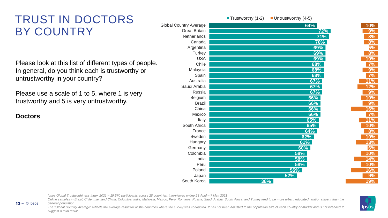# TRUST IN DOCTORS BY COUNTRY

Please look at this list of different types of people. In general, do you think each is trustworthy or untrustworthy in your country?

Please use a scale of 1 to 5, where 1 is very trustworthy and 5 is very untrustworthy.

**Doctors**

 $13 - \circ$  Ipsos

|                               | $-$ 11 $\omega$ $\omega$ $\omega$ $\omega$ $\omega$ $\omega$ $\mu$ $\omega$ $\omega$<br>$ \cup$ $\cdots$ $\cup$ $\cdots$ $\cup$ $\cdots$ $\cup$ $\cdots$ |  |
|-------------------------------|----------------------------------------------------------------------------------------------------------------------------------------------------------|--|
| <b>Global Country Average</b> | 64%                                                                                                                                                      |  |
| <b>Great Britain</b>          | 72%                                                                                                                                                      |  |
| Netherlands                   | 71%                                                                                                                                                      |  |
| Canada                        | 70%                                                                                                                                                      |  |
| Argentina                     | 69%                                                                                                                                                      |  |
| Turkey                        | 69%                                                                                                                                                      |  |
| <b>USA</b>                    | 69%                                                                                                                                                      |  |
| Chile                         | 68%                                                                                                                                                      |  |
| Malaysia                      | 68%                                                                                                                                                      |  |
| Spain                         | 68%                                                                                                                                                      |  |
| Australia                     | 67%                                                                                                                                                      |  |
| Saudi Arabia                  | 67%                                                                                                                                                      |  |
| Russia                        | 67%                                                                                                                                                      |  |
| Belgium                       | 66%                                                                                                                                                      |  |
| <b>Brazil</b>                 | 66%                                                                                                                                                      |  |
| China                         | 66%                                                                                                                                                      |  |
| Mexico                        | 66%                                                                                                                                                      |  |
| Italy                         | 65%                                                                                                                                                      |  |
| South Africa                  | 65%                                                                                                                                                      |  |
| France                        | 64%                                                                                                                                                      |  |
| Sweden                        | 62%                                                                                                                                                      |  |
| Hungary                       | 61%                                                                                                                                                      |  |
| Germany                       | 60%                                                                                                                                                      |  |
| Colombia                      | 58%                                                                                                                                                      |  |
| India                         | 58%                                                                                                                                                      |  |
| Peru                          | 58%                                                                                                                                                      |  |
| Poland                        | <b>55%</b>                                                                                                                                               |  |
| Japan                         | 52%                                                                                                                                                      |  |
| South Korea                   | 38%                                                                                                                                                      |  |

 $\blacksquare$  Trustworthy (1-2)  $\blacksquare$  Untrustworthy (4-5)

*Ipsos Global Trustworthiness Index 2021 – 19,570 participants across 28 countries, interviewed online 23 April – 7 May 2021*

*Online samples in Brazil, Chile, mainland China, Colombia, India, Malaysia, Mexico, Peru, Romania, Russia, Saudi Arabia, South Africa, and Turkey tend to be more urban, educated, and/or affluent than the general population*

*The "Global Country Average" reflects the average result for all the countries where the survey was conducted. It has not been adjusted to the population size of each country or market and is not intended to suggest a total result.*



**10% 9% 8% 8% 5% 8% 10% 7% 9% 7% 11% 12% 9% 10% 9% 16% 7% 11% 10% 8% 10% 13% 6% 10% 14% 10% 16% 9% 19%**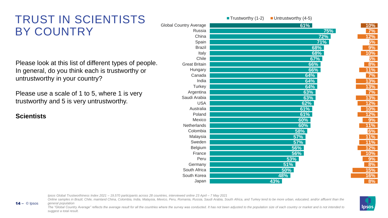# TRUST IN SCIENTISTS BY COUNTRY

Please look at this list of different types of people. In general, do you think each is trustworthy or untrustworthy in your country?

Please use a scale of 1 to 5, where 1 is very trustworthy and 5 is very untrustworthy.

**Scientists**

 $14 - \circ$  Ipsos

|                               | $\blacksquare$ Trustworthy (1-2)<br>$\blacksquare$ Untrustworthy (4-5) |
|-------------------------------|------------------------------------------------------------------------|
| <b>Global Country Average</b> | 61%                                                                    |
| Russia                        | 75%                                                                    |
| China                         | 72%                                                                    |
| Spain                         | 71%                                                                    |
| <b>Brazil</b>                 | 68%                                                                    |
| Italy                         | 68%                                                                    |
| Chile                         | 67%                                                                    |
| <b>Great Britain</b>          | 66%                                                                    |
| Hungary                       | 66%                                                                    |
| Canada                        | 64%                                                                    |
| India                         | 64%                                                                    |
| Turkey                        | 64%                                                                    |
| Argentina                     | 63%                                                                    |
| Saudi Arabia                  | 63%                                                                    |
| <b>USA</b>                    | 62%                                                                    |
| Australia                     | 61%                                                                    |
| Poland                        | 61%                                                                    |
| Mexico                        | 60%                                                                    |
| Netherlands                   | 60%                                                                    |
| Colombia                      | 58%                                                                    |
| Malaysia                      | <b>57%</b>                                                             |
| Sweden                        | 57%                                                                    |
| Belgium                       | 56%                                                                    |
| France                        | 56%                                                                    |
| Peru                          | 53%                                                                    |
| Germany                       | 51%                                                                    |
| South Africa                  | 50%                                                                    |
| South Korea                   | 48%                                                                    |
| Japan                         | 43%                                                                    |

*Ipsos Global Trustworthiness Index 2021 – 19,570 participants across 28 countries, interviewed online 23 April – 7 May 2021*

*Online samples in Brazil, Chile, mainland China, Colombia, India, Malaysia, Mexico, Peru, Romania, Russia, Saudi Arabia, South Africa, and Turkey tend to be more urban, educated, and/or affluent than the general population*

*The "Global Country Average" reflects the average result for all the countries where the survey was conducted. It has not been adjusted to the population size of each country or market and is not intended to suggest a total result.*



**10% 7% 12% 5% 9% 10% 5% 8% 11% 7% 13% 13% 7% 13% 12% 10% 12% 9% 11% 6% 11% 11% 12% 10% 9% 8% 15% 16% 8%**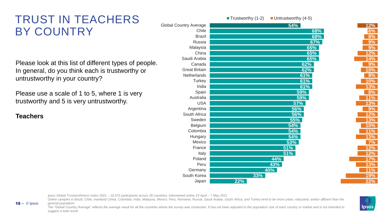# TRUST IN TEACHERS BY COUNTRY

Please look at this list of different types of people. In general, do you think each is trustworthy or untrustworthy in your country?

Please use a scale of 1 to 5, where 1 is very trustworthy and 5 is very untrustworthy.

**Teachers**

 $15 - \circ$  lpsos

|                               | ■ Trustworthy (1-2)<br>$\blacksquare$ Untrustworthy (4-5) |  |
|-------------------------------|-----------------------------------------------------------|--|
| <b>Global Country Average</b> | <b>54%</b>                                                |  |
| Chile                         | 68%                                                       |  |
| <b>Brazil</b>                 | 68%                                                       |  |
| Russia                        | 67%                                                       |  |
| Malaysia                      | 65%                                                       |  |
| China                         | 65%                                                       |  |
| Saudi Arabia                  | 65%                                                       |  |
| Canada                        | 62%                                                       |  |
| <b>Great Britain</b>          | 62%                                                       |  |
| Netherlands                   | 61%                                                       |  |
| Turkey                        | 61%                                                       |  |
| India                         | 61%                                                       |  |
| Spain                         | 59%                                                       |  |
| Australia                     | 59%                                                       |  |
| <b>USA</b>                    | <b>57%</b>                                                |  |
| Argentina                     | 56%                                                       |  |
| South Africa                  | 56%                                                       |  |
| Sweden                        | 55%                                                       |  |
| Belgium                       | 54%                                                       |  |
| Colombia                      | <b>54%</b>                                                |  |
| Hungary                       | 54%                                                       |  |
| Mexico                        | <b>53%</b>                                                |  |
| France                        | 51%                                                       |  |
| Italy                         | 51%                                                       |  |
| Poland                        | 44%                                                       |  |
| Peru                          | 43%                                                       |  |
| Germany                       | 40%                                                       |  |
| South Korea                   | 33%                                                       |  |
| Japan                         | 22%                                                       |  |

*Ipsos Global Trustworthiness Index 2021 – 19,570 participants across 28 countries, interviewed online 23 April – 7 May 2021*

*Online samples in Brazil, Chile, mainland China, Colombia, India, Malaysia, Mexico, Peru, Romania, Russia, Saudi Arabia, South Africa, and Turkey tend to be more urban, educated, and/or affluent than the general population*

*The "Global Country Average" reflects the average result for all the countries where the survey was conducted. It has not been adjusted to the population size of each country or market and is not intended to suggest a total result.*



**12% 6% 8% 9% 9% 12% 14% 9% 10% 8% 10% 13% 8% 11% 13% 9% 12% 13% 10% 11% 13% 7% 12% 12% 17% 13% 11% 19% 22%**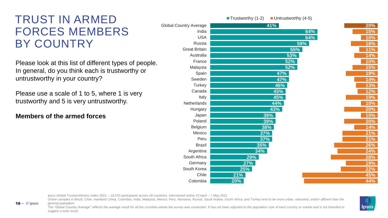# TRUST IN ARMED FORCES MEMBERS BY COUNTRY

Please look at this list of different types of people. In general, do you think each is trustworthy or untrustworthy in your country?

Please use a scale of 1 to 5, where 1 is very trustworthy and 5 is very untrustworthy.

#### **Members of the armed forces**

 $16 - \circ$  Ipsos

| 41%        |                                                                                                                     |
|------------|---------------------------------------------------------------------------------------------------------------------|
| 64%        |                                                                                                                     |
| 64%        |                                                                                                                     |
|            |                                                                                                                     |
|            |                                                                                                                     |
|            |                                                                                                                     |
|            |                                                                                                                     |
|            |                                                                                                                     |
|            |                                                                                                                     |
| 47%        |                                                                                                                     |
| 46%        |                                                                                                                     |
|            |                                                                                                                     |
|            |                                                                                                                     |
| 44%        |                                                                                                                     |
|            |                                                                                                                     |
|            |                                                                                                                     |
|            |                                                                                                                     |
|            |                                                                                                                     |
|            |                                                                                                                     |
| <b>37%</b> |                                                                                                                     |
|            |                                                                                                                     |
| 34%        |                                                                                                                     |
|            |                                                                                                                     |
| 27%        |                                                                                                                     |
| 25%        |                                                                                                                     |
| 21%        |                                                                                                                     |
| 20%        |                                                                                                                     |
|            | 59%<br><b>55%</b><br>53%<br>52%<br>52%<br>47%<br>45%<br>45%<br>43%<br>39%<br>39%<br>38%<br>37%<br><b>35%</b><br>29% |

 $\blacksquare$  Trustworthy (1-2)  $\blacksquare$  Untrustworthy (4-5)

*Ipsos Global Trustworthiness Index 2021 – 19,570 participants across 28 countries, interviewed online 23 April – 7 May 2021*

Online samples in Brazil, Chile, mainland China, Colombia, India, Malaysia, Mexico, Peru, Romania, Russia, Saudi Arabia, South Africa, and Turkey tend to be more urban, educated, and/or affluent than the *general population*

*The "Global Country Average" reflects the average result for all the countries where the survey was conducted. It has not been adjusted to the population size of each country or market and is not intended to suggest a total result.*



**20% 15% 10% 16% 11% 14% 10% 15% 19% 14% 13% 12% 19% 10% 20% 10% 20% 14% 21% 21% 26% 24% 28% 19% 22% 45% 44%**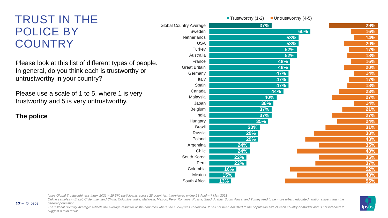# TRUST IN THE POLICE BY **COUNTRY**

Please look at this list of different types of people. In general, do you think each is trustworthy or untrustworthy in your country?

Please use a scale of 1 to 5, where 1 is very trustworthy and 5 is very untrustworthy.

**The police**

 $17 - \circ$  lpsos

|                               | ■ Trustworthy (1-2)<br>$\blacksquare$ Untrustworthy (4-5) |            |
|-------------------------------|-----------------------------------------------------------|------------|
| <b>Global Country Average</b> | 37%                                                       | 29%        |
| Sweden                        | 60%                                                       | <b>16%</b> |
| Netherlands                   | 53%                                                       | 14%        |
| <b>USA</b>                    | 53%                                                       | <b>20%</b> |
| Turkey                        | 52%                                                       | 17%        |
| Australia                     | 52%                                                       | <b>18%</b> |
| France                        | 48%                                                       | 16%        |
| <b>Great Britain</b>          | 48%                                                       | 20%        |
| Germany                       | 47%                                                       | 14%        |
| Italy                         | 47%                                                       | <u>17%</u> |
| Spain                         | 47%                                                       | <b>18%</b> |
| Canada                        | 44%                                                       | 23%        |
| Malaysia                      | 40%                                                       | 27%        |
| Japan                         | 38%                                                       | <u>14%</u> |
| Belgium                       | 37%                                                       | 21%        |
| India                         | <b>37%</b>                                                | 27%        |
| Hungary                       | 35%                                                       | 24%        |
| <b>Brazil</b>                 | 30%                                                       | 31%        |
| Russia                        | 29%                                                       | 38%        |
| Poland                        | 29%                                                       | 43%        |
| Argentina                     | 24%                                                       | 35%        |
| Chile                         | 24%                                                       | 48%        |
| South Korea                   | 22%                                                       | 35%        |
| Peru                          | 22%                                                       | 37%        |
| Colombia                      | 16%                                                       | 52%        |
| Mexico                        | 15%                                                       | 48%        |
| South Africa                  | 13%                                                       | 55%        |

*Ipsos Global Trustworthiness Index 2021 – 19,570 participants across 28 countries, interviewed online 23 April – 7 May 2021*

Online samples in Brazil, Chile, mainland China, Colombia, India, Malaysia, Mexico, Peru, Romania, Russia, Saudi Arabia, South Africa, and Turkey tend to be more urban, educated, and/or affluent than the *general population*

*The "Global Country Average" reflects the average result for all the countries where the survey was conducted. It has not been adjusted to the population size of each country or market and is not intended to suggest a total result.*



**29%**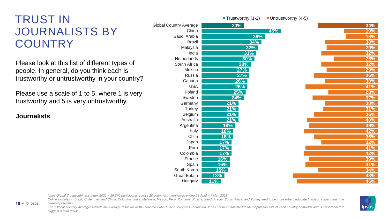# TRUST IN JOURNALISTS BY **COUNTRY**

Please look at this list of different types of people. In general, do you think each is trustworthy or untrustworthy in your country?

Please use a scale of 1 to 5, where 1 is very trustworthy and 5 is very untrustworthy.

**Journalists**

 $18 - \circ$  Ipsos

|                               |            | ■ Trustworthy (1-2) | $\blacksquare$ Untrustworthy (4-5) |
|-------------------------------|------------|---------------------|------------------------------------|
| <b>Global Country Average</b> |            | 24%                 |                                    |
| China                         |            |                     | 45%                                |
| Saudi Arabia                  |            | 36%                 |                                    |
| <b>Brazil</b>                 |            | 34%                 |                                    |
| Malaysia                      |            | 32%                 |                                    |
| India                         |            | 31%                 |                                    |
| Netherlands                   |            | 30%                 |                                    |
| South Africa                  |            | $28\%$              |                                    |
| Mexico                        |            | 27%                 |                                    |
| Russia                        |            | 27%                 |                                    |
| Canada                        |            | 26%                 |                                    |
| <b>USA</b>                    |            | 26%                 |                                    |
| Poland                        |            | 25%                 |                                    |
| Sweden                        |            | 24%                 |                                    |
| Germany                       | 21%        |                     |                                    |
| <b>Turkey</b>                 | 21%        |                     |                                    |
| Belgium                       | 21%        |                     |                                    |
| Australia                     | 21%        |                     |                                    |
| Argentina                     | 19%        |                     |                                    |
| Italy                         | 18%        |                     |                                    |
| Chile                         | 18%        |                     |                                    |
| Japan                         | 17%        |                     |                                    |
| Peru                          | 17%        |                     |                                    |
| Colombia                      | 17%        |                     |                                    |
| France                        | <b>16%</b> |                     |                                    |
| Spain                         | <b>16%</b> |                     |                                    |
| South Korea                   | <u>15%</u> |                     |                                    |
| <b>Great Britain</b>          | <u>13%</u> |                     |                                    |
| Hungary                       | $11\%$     |                     |                                    |

|  | 34% |
|--|-----|
|  | 19% |
|  | 18% |
|  | 30% |
|  | 29% |
|  | 32% |
|  | 25% |
|  | 32% |
|  | 29% |
|  | 36% |
|  | 30% |
|  | 41% |
|  | 28% |
|  | 37% |
|  | 30% |
|  | 31% |
|  | 36% |
|  | 40% |
|  | 39% |
|  | 42% |
|  | 36% |
|  | 32% |
|  | 41% |
|  | 42% |
|  | 39% |
|  | 41% |
|  | 34% |
|  | 48% |
|  | 46% |

*Ipsos Global Trustworthiness Index 2021 – 19,570 participants across 28 countries, interviewed online 23 April – 7 May 2021*

*Online samples in Brazil, Chile, mainland China, Colombia, India, Malaysia, Mexico, Peru, Romania, Russia, Saudi Arabia, South Africa, and Turkey tend to be more urban, educated, and/or affluent than the general population*

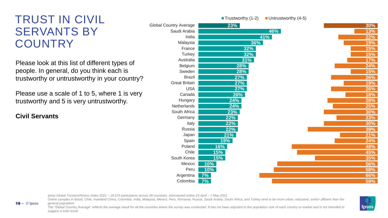# TRUST IN CIVIL SERVANTS BY **COUNTRY**

Please look at this list of different types of people. In general, do you think each is trustworthy or untrustworthy in your country?

Please use a scale of 1 to 5, where 1 is very trustworthy and 5 is very untrustworthy.

**Civil Servants**

19 – © Ipsos

|                               | $\blacksquare$ Trustworthy (1-2) | $\blacksquare$ Untrustworthy (4-5) |            |
|-------------------------------|----------------------------------|------------------------------------|------------|
| <b>Global Country Average</b> | 23%                              |                                    | 30%        |
| Saudi Arabia                  |                                  | 46%                                | 13%        |
| India                         |                                  | 41%                                | 22%        |
| Malaysia                      | 36%                              |                                    | 19%        |
| France                        | 32%                              |                                    | 15%        |
| Turkey                        | 32%                              |                                    | 15%        |
| Australia                     | 31%                              |                                    | 17%        |
| Belgium                       | 28%                              |                                    | 24%        |
| Sweden                        | 28%                              |                                    | 15%        |
| <b>Brazil</b>                 | 27%                              |                                    | 26%        |
| <b>Great Britain</b>          | 27%                              |                                    | <b>19%</b> |
| <b>USA</b>                    | 27%                              |                                    | 26%        |
| Canada                        | 26%                              |                                    | <b>18%</b> |
| Hungary                       | 24%                              |                                    | 28%        |
| Netherlands                   | 24%                              |                                    | 25%        |
| South Africa                  | 23%                              |                                    | 30%        |
| Germany                       | 22%                              |                                    | 23%        |
| Italy                         | 22%                              |                                    | 30%        |
| Russia                        | 22%                              |                                    | 39%        |
| Japan                         | 21%                              |                                    | 21%        |
| Spain                         | <u>19%</u>                       |                                    | 24%        |
| Poland                        | <b>16%</b>                       |                                    | 48%        |
| Chile                         | 15%                              |                                    | 45%        |
| South Korea                   | 15%                              |                                    | 35%        |
| Mexico                        | 10%                              |                                    | 56%        |
| Peru                          | 10%                              |                                    | 58%        |
| Argentina                     | 7%                               |                                    | 66%        |
| Colombia                      | 7%                               |                                    | 59%        |

*Ipsos Global Trustworthiness Index 2021 – 19,570 participants across 28 countries, interviewed online 23 April – 7 May 2021*

Online samples in Brazil, Chile, mainland China, Colombia, India, Malaysia, Mexico, Peru, Romania, Russia, Saudi Arabia, South Africa, and Turkey tend to be more urban, educated, and/or affluent than the *general population*

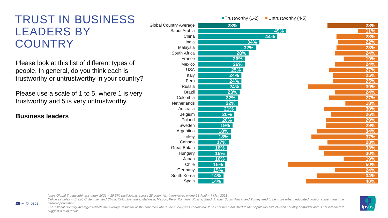## TRUST IN BUSINESS LEADERS BY **COUNTRY**

Please look at this list of different types of people. In general, do you think each is trustworthy or untrustworthy in your country?

Please use a scale of 1 to 5, where 1 is very trustworthy and 5 is very untrustworthy.

#### **Business leaders**

© Ipsos 20 **‒**

|                               | ■ Trustworthy (1-2) | $\blacksquare$ Untrustworthy (4-5) |  |
|-------------------------------|---------------------|------------------------------------|--|
| <b>Global Country Average</b> | 23%                 |                                    |  |
| Saudi Arabia                  |                     | 49%                                |  |
| China                         |                     | 44%                                |  |
| India                         | 34%                 |                                    |  |
| Malaysia                      | 32%                 |                                    |  |
| South Africa                  | 28%                 |                                    |  |
| France                        | 26%                 |                                    |  |
| Mexico                        | 26%                 |                                    |  |
| <b>USA</b>                    | 25%                 |                                    |  |
| Italy                         | 24%                 |                                    |  |
| Peru                          | 24%                 |                                    |  |
| Russia                        | 24%                 |                                    |  |
| <b>Brazil</b>                 | 23%                 |                                    |  |
| Colombia                      | 22%                 |                                    |  |
| Netherlands                   | 22%                 |                                    |  |
| Australia                     | 21%                 |                                    |  |
| Belgium                       | 20%                 |                                    |  |
| Poland                        | 20%                 |                                    |  |
| Sweden                        | <b>19%</b>          |                                    |  |
| Argentina                     | <u> 18% </u>        |                                    |  |
| Turkey                        | 18%                 |                                    |  |
| Canada                        | 17%                 |                                    |  |
| <b>Great Britain</b>          | 16%                 |                                    |  |
| Hungary                       | <b>16%</b>          |                                    |  |
| Japan                         | 16%                 |                                    |  |
| Chile                         | 15%                 |                                    |  |
| Germany                       | 15%                 |                                    |  |
| South Korea                   | 14%                 |                                    |  |
| Spain                         | 14%                 |                                    |  |

*Ipsos Global Trustworthiness Index 2021 – 19,570 participants across 28 countries, interviewed online 23 April – 7 May 2021*

*Online samples in Brazil, Chile, mainland China, Colombia, India, Malaysia, Mexico, Peru, Romania, Russia, Saudi Arabia, South Africa, and Turkey tend to be more urban, educated, and/or affluent than the general population*

*The "Global Country Average" reflects the average result for all the countries where the survey was conducted. It has not been adjusted to the population size of each country or market and is not intended to suggest a total result.*



**28% 11% 23% 22% 23% 24% 19% 24% 27% 25% 25% 39% 24% 27% 18% 30% 26% 29% 29% 34% 37% 28% 33% 30% 19% 50% 24% 34% 40%**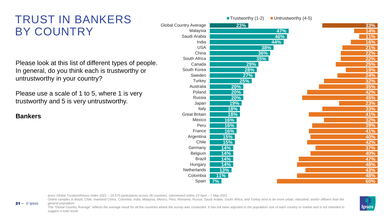# TRUST IN BANKERS BY COUNTRY

Please look at this list of different types of people. In general, do you think each is trustworthy or untrustworthy in your country?

Please use a scale of 1 to 5, where 1 is very trustworthy and 5 is very untrustworthy.

**Bankers**

© Ipsos 21 **‒**

|                               | $\blacksquare$ Trustworthy (1-2) | $\blacksquare$ Untrustworthy (4-5) |            |
|-------------------------------|----------------------------------|------------------------------------|------------|
| <b>Global Country Average</b> | 23%                              |                                    | 33%        |
| Malaysia                      |                                  | 47%                                | 14%        |
| Saudi Arabia                  |                                  | 46%                                | 11%        |
| India                         |                                  | 44%                                | 16%        |
| <b>USA</b>                    |                                  | 38%                                | 21%        |
| China                         | 36%                              |                                    | 22%        |
| South Africa                  | 35%                              |                                    | 22%        |
| Canada                        | 29%                              |                                    | <b>25%</b> |
| South Korea                   | 28%                              |                                    | <b>19%</b> |
| Sweden                        | 27%                              |                                    | 24%        |
| Turkey                        | 25%                              |                                    | 32%        |
| Australia                     | 20%                              |                                    | 35%        |
| Poland                        | 20%                              |                                    | 42%        |
| Russia                        | 20%                              |                                    | 45%        |
| Japan                         | 19%                              |                                    | 23%        |
| Italy                         | 18%                              |                                    | 33%        |
| <b>Great Britain</b>          | 18%                              |                                    | 41%        |
| Mexico                        | 16%                              |                                    | 32%        |
| Peru                          | 16%                              |                                    | 39%        |
| France                        | 16%                              |                                    | 41%        |
| Argentina                     | 15%                              |                                    | 40%        |
| Chile                         | <b>15%</b>                       |                                    | 42%        |
| Germany                       | 14%                              |                                    | 37%        |
| Belgium                       | 14%                              |                                    | <b>40%</b> |
| <b>Brazil</b>                 | 14%                              |                                    | 47%        |
| Hungary                       | 14%                              |                                    | <b>48%</b> |
| Netherlands                   | 13%                              |                                    | 43%        |
| Colombia                      | 11%                              |                                    | 48%        |
| Spain                         | 7%                               |                                    | 60%        |

*Ipsos Global Trustworthiness Index 2021 – 19,570 participants across 28 countries, interviewed online 23 April – 7 May 2021*

Online samples in Brazil, Chile, mainland China, Colombia, India, Malaysia, Mexico, Peru, Romania, Russia, Saudi Arabia, South Africa, and Turkey tend to be more urban, educated, and/or affluent than the *general population*

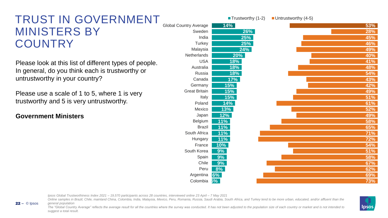## TRUST IN GOVERNMENT MINISTERS BY **COUNTRY**

Please look at this list of different types of people. In general, do you think each is trustworthy or untrustworthy in your country?

Please use a scale of 1 to 5, where 1 is very trustworthy and 5 is very untrustworthy.

#### **Government Ministers**

© Ipsos 22 **‒**

|                               | ■ Trustworthy (1-2) | $\blacksquare$ Untrustworthy (4-5) |  |
|-------------------------------|---------------------|------------------------------------|--|
| <b>Global Country Average</b> | 14%                 | 53%                                |  |
| Sweden                        | 26%                 | 28%                                |  |
| India                         | 25%                 | 45%                                |  |
| Turkey                        | 25%                 | 46%                                |  |
| Malaysia                      | 24%                 | 49%                                |  |
| Netherlands                   | 20%                 | 40%                                |  |
| <b>USA</b>                    | 18%                 | 41%                                |  |
| Australia                     | 18%                 | 48%                                |  |
| Russia                        | 18%                 | 54%                                |  |
| Canada                        | 17%                 | 43%                                |  |
| Germany                       | 15%                 | 42%                                |  |
| <b>Great Britain</b>          | 15%                 | 49%                                |  |
| Italy                         | 15%                 | 51%                                |  |
| Poland                        | 14%                 | 61%                                |  |
| Mexico                        | 13%                 | 52%                                |  |
| Japan                         | 12%                 | 49%                                |  |
| Belgium                       | 11%                 | 58%                                |  |
| <b>Brazil</b>                 | 11%                 | 65%                                |  |
| South Africa                  | 11%                 | 71%                                |  |
| Hungary                       | 11%                 | 72%                                |  |
| France                        | 10%                 | 54%                                |  |
| South Korea                   | 9%                  | 51%                                |  |
| Spain                         | 9%                  | 58%                                |  |
| Chile                         | 9%                  | 67%                                |  |
| Peru                          | 8%                  | 62%                                |  |
| Argentina                     | 6%                  | 69%                                |  |
| Colombia                      | 5%                  | 73%                                |  |

*Ipsos Global Trustworthiness Index 2021 – 19,570 participants across 28 countries, interviewed online 23 April – 7 May 2021*

Online samples in Brazil, Chile, mainland China, Colombia, India, Malaysia, Mexico, Peru, Romania, Russia, Saudi Arabia, South Africa, and Turkey tend to be more urban, educated, and/or affluent than the *general population*

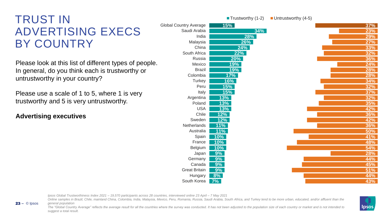# TRUST IN ADVERTISING EXECS BY COUNTRY

Please look at this list of different types of people. In general, do you think each is trustworthy or untrustworthy in your country?

Please use a scale of 1 to 5, where 1 is very trustworthy and 5 is very untrustworthy.

#### **Advertising executives**

© Ipsos 23 **‒**

|                               |              | ■ Trustworthy $(1-2)$ | Untrustworthy (4-5) |
|-------------------------------|--------------|-----------------------|---------------------|
| <b>Global Country Average</b> | 15%          |                       |                     |
| Saudi Arabia                  |              | 34%                   |                     |
| India                         |              | 28%                   |                     |
| Malaysia                      |              | 26%                   |                     |
| China                         |              | 24%                   |                     |
| South Africa                  |              | 22%                   |                     |
| Russia                        |              | $20\%$                |                     |
| Mexico                        |              | 19%                   |                     |
| <b>Brazil</b>                 |              | 19%                   |                     |
| Colombia                      |              | <u>17%</u>            |                     |
| Turkey                        | <u>16%</u>   |                       |                     |
| Peru                          | 15%          |                       |                     |
| Italy                         | 15%          |                       |                     |
| Argentina                     | <u>13%</u>   |                       |                     |
| Poland                        | <u>13%</u>   |                       |                     |
| <b>USA</b>                    | 13%          |                       |                     |
| Chile                         | $12\%$       |                       |                     |
| Sweden                        | 12%          |                       |                     |
| Netherlands                   | <u> 11% </u> |                       |                     |
| Australia                     | $11\%$       |                       |                     |
| Spain                         | 10%          |                       |                     |
| France                        | <u>10%</u>   |                       |                     |
| Belgium                       | 10%          |                       |                     |
| Japan                         | $9\%$        |                       |                     |
| Germany                       | $9\%$        |                       |                     |
| Canada                        | 9%           |                       |                     |
| <b>Great Britain</b>          | $9\%$        |                       |                     |
| Hungary                       | $8\%$        |                       |                     |
| South Korea                   | 7%           |                       |                     |

|  | 37% |
|--|-----|
|  | 23% |
|  | 29% |
|  | 27% |
|  | 33% |
|  | 32% |
|  | 36% |
|  | 24% |
|  | 28% |
|  | 28% |
|  | 34% |
|  | 32% |
|  | 37% |
|  | 32% |
|  | 35% |
|  | 42% |
|  | 36% |
|  | 42% |
|  | 36% |
|  | 50% |
|  | 41% |
|  | 48% |
|  | 54% |
|  | 28% |
|  | 44% |
|  | 45% |
|  | 51% |
|  | 44% |
|  | 43% |

*Ipsos Global Trustworthiness Index 2021 – 19,570 participants across 28 countries, interviewed online 23 April – 7 May 2021*

Online samples in Brazil, Chile, mainland China, Colombia, India, Malaysia, Mexico, Peru, Romania, Russia, Saudi Arabia, South Africa, and Turkey tend to be more urban, educated, and/or affluent than the *general population*

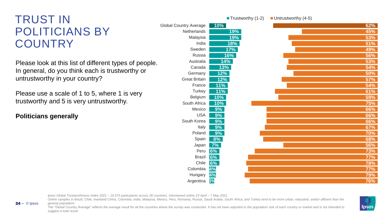# TRUST IN POLITICIANS BY **COUNTRY**

Please look at this list of different types of people. In general, do you think each is trustworthy or untrustworthy in your country?

Please use a scale of 1 to 5, where 1 is very trustworthy and 5 is very untrustworthy.

**Politicians generally**

© Ipsos 24 **‒**

|                               | ■ Trustworthy (1-2) | $\blacksquare$ Untrustworthy (4-5) |            |
|-------------------------------|---------------------|------------------------------------|------------|
| <b>Global Country Average</b> | $10\%$              |                                    | 62%        |
| Netherlands                   | 19%                 |                                    | 45%        |
| Malaysia                      | 19%                 |                                    | 53%        |
| India                         | 18%                 |                                    | 51%        |
| Sweden                        | 17%                 |                                    | 49%        |
| Russia                        | 16%                 |                                    | 56%        |
| Australia                     | 14%                 |                                    | 53%        |
| Canada                        | 13%                 |                                    | 54%        |
| Germany                       | 12%                 |                                    | 50%        |
| <b>Great Britain</b>          | 12%                 |                                    | 57%        |
| France                        | 11%                 |                                    | 54%        |
| Turkey                        | 11%                 |                                    | 61%        |
| Belgium                       | 10%                 |                                    | 59%        |
| South Africa                  | 10%                 |                                    | 75%        |
| Mexico                        | 9%                  |                                    | 66%        |
| <b>USA</b>                    | 9%                  |                                    | 66%        |
| South Korea                   | 9%                  |                                    | 66%        |
| Italy                         | 9%                  |                                    | 67%        |
| Poland                        | 9%                  |                                    | 70%        |
| Spain                         | 8%                  |                                    | 68%        |
| Japan                         | 7%                  |                                    | 56%        |
| Peru                          | 6%                  |                                    | 73%        |
| <b>Brazil</b>                 | 6%                  |                                    | 77%        |
| Chile                         | 6%                  |                                    | <b>78%</b> |
| Colombia                      | 4%                  |                                    | 77%        |
| Hungary                       | 4%                  |                                    | 79%        |
| Argentina                     | 3%                  |                                    | 76%        |

*Ipsos Global Trustworthiness Index 2021 – 19,570 participants across 28 countries, interviewed online 23 April – 7 May 2021*

Online samples in Brazil, Chile, mainland China, Colombia, India, Malaysia, Mexico, Peru, Romania, Russia, Saudi Arabia, South Africa, and Turkey tend to be more urban, educated, and/or affluent than the *general population*

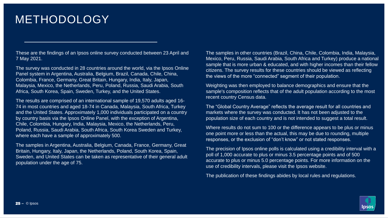# METHODOLOGY

These are the findings of an Ipsos online survey conducted between 23 April and 7 May 2021.

The survey was conducted in 28 countries around the world, via the Ipsos Online Panel system in Argentina, Australia, Belgium, Brazil, Canada, Chile, China, Colombia, France, Germany, Great Britain, Hungary, India, Italy, Japan, Malaysia, Mexico, the Netherlands, Peru, Poland, Russia, Saudi Arabia, South Africa, South Korea, Spain, Sweden, Turkey, and the United States.

The results are comprised of an international sample of 19,570 adults aged 16- 74 in most countries and aged 18-74 in Canada, Malaysia, South Africa, Turkey and the United States. Approximately 1,000 individuals participated on a country by country basis via the Ipsos Online Panel, with the exception of Argentina, Chile, Colombia, Hungary, India, Malaysia, Mexico, the Netherlands, Peru, Poland, Russia, Saudi Arabia, South Africa, South Korea Sweden and Turkey, where each have a sample of approximately 500.

The samples in Argentina, Australia, Belgium, Canada, France, Germany, Great Britain, Hungary, Italy, Japan, the Netherlands, Poland, South Korea, Spain, Sweden, and United States can be taken as representative of their general adult population under the age of 75.

The samples in other countries (Brazil, China, Chile, Colombia, India, Malaysia, Mexico, Peru, Russia, Saudi Arabia, South Africa and Turkey) produce a national sample that is more urban & educated, and with higher incomes than their fellow citizens. The survey results for these countries should be viewed as reflecting the views of the more "connected" segment of their population.

Weighting was then employed to balance demographics and ensure that the sample's composition reflects that of the adult population according to the most recent country Census data.

The "Global Country Average" reflects the average result for all countries and markets where the survey was conducted. It has not been adjusted to the population size of each country and is not intended to suggest a total result.

Where results do not sum to 100 or the difference appears to be plus or minus one point more or less than the actual, this may be due to rounding, multiple responses, or the exclusion of "don't know" or not stated responses.

The precision of Ipsos online polls is calculated using a credibility interval with a poll of 1,000 accurate to plus or minus 3.5 percentage points and of 500 accurate to plus or minus 5.0 percentage points. For more information on the use of credibility intervals, please visit the Ipsos website.

The publication of these findings abides by local rules and regulations.

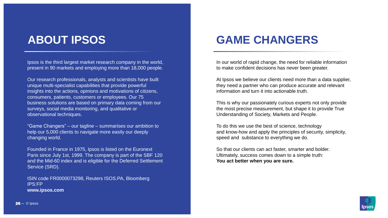# **ABOUT IPSOS**

Ipsos is the third largest market research company in the world, present in 90 markets and employing more than 18,000 people.

Our research professionals, analysts and scientists have built unique multi-specialist capabilities that provide powerful insights into the actions, opinions and motivations of citizens, consumers, patients, customers or employees. Our 75 business solutions are based on primary data coming from our surveys, social media monitoring, and qualitative or observational techniques.

"Game Changers" – our tagline – summarises our ambition to help our 5,000 clients to navigate more easily our deeply changing world.

Founded in France in 1975, Ipsos is listed on the Euronext Paris since July 1st, 1999. The company is part of the SBF 120 and the Mid-60 index and is eligible for the Deferred Settlement Service (SRD).

ISIN code FR0000073298, Reuters ISOS.PA, Bloomberg IPS:FP **www.ipsos.com**

# **GAME CHANGERS**

In our world of rapid change, the need for reliable information to make confident decisions has never been greater.

At Ipsos we believe our clients need more than a data supplier, they need a partner who can produce accurate and relevant information and turn it into actionable truth.

This is why our passionately curious experts not only provide the most precise measurement, but shape it to provide True Understanding of Society, Markets and People.

To do this we use the best of science, technology and know-how and apply the principles of security, simplicity, speed and substance to everything we do.

So that our clients can act faster, smarter and bolder. Ultimately, success comes down to a simple truth: **You act better when you are sure.**